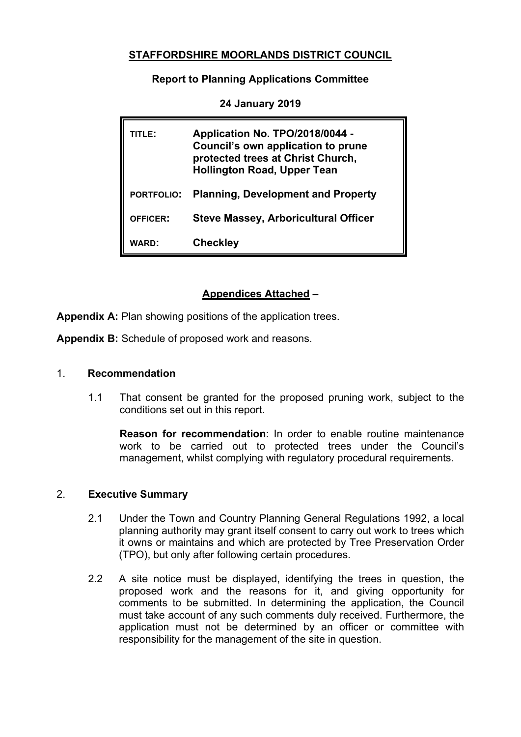# **STAFFORDSHIRE MOORLANDS DISTRICT COUNCIL**

**Report to Planning Applications Committee**

| TITLE:            | Application No. TPO/2018/0044 -<br><b>Council's own application to prune</b><br>protected trees at Christ Church,<br><b>Hollington Road, Upper Tean</b> |
|-------------------|---------------------------------------------------------------------------------------------------------------------------------------------------------|
| <b>PORTFOLIO:</b> | <b>Planning, Development and Property</b>                                                                                                               |
| <b>OFFICER:</b>   | <b>Steve Massey, Arboricultural Officer</b>                                                                                                             |
| WARD:             | <b>Checkley</b>                                                                                                                                         |

**24 January 2019**

# **Appendices Attached –**

**Appendix A:** Plan showing positions of the application trees.

**Appendix B:** Schedule of proposed work and reasons.

#### 1. **Recommendation**

1.1 That consent be granted for the proposed pruning work, subject to the conditions set out in this report.

**Reason for recommendation**: In order to enable routine maintenance work to be carried out to protected trees under the Council's management, whilst complying with regulatory procedural requirements.

### 2. **Executive Summary**

- 2.1 Under the Town and Country Planning General Regulations 1992, a local planning authority may grant itself consent to carry out work to trees which it owns or maintains and which are protected by Tree Preservation Order (TPO), but only after following certain procedures.
- 2.2 A site notice must be displayed, identifying the trees in question, the proposed work and the reasons for it, and giving opportunity for comments to be submitted. In determining the application, the Council must take account of any such comments duly received. Furthermore, the application must not be determined by an officer or committee with responsibility for the management of the site in question.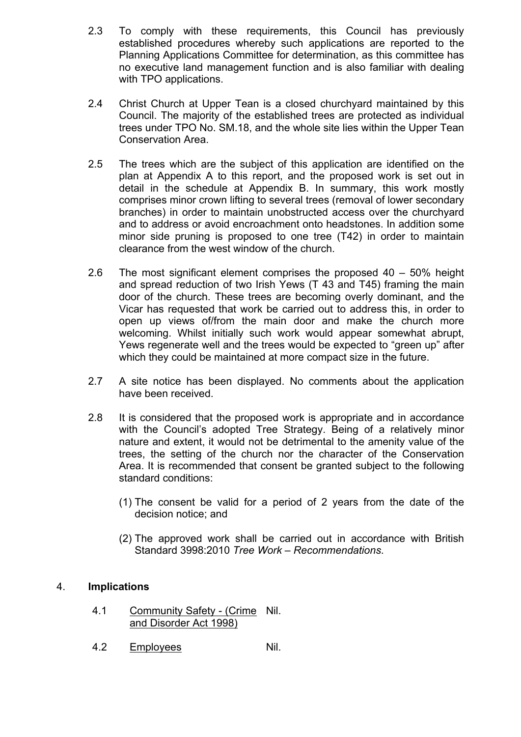- 2.3 To comply with these requirements, this Council has previously established procedures whereby such applications are reported to the Planning Applications Committee for determination, as this committee has no executive land management function and is also familiar with dealing with TPO applications.
- 2.4 Christ Church at Upper Tean is a closed churchyard maintained by this Council. The majority of the established trees are protected as individual trees under TPO No. SM.18, and the whole site lies within the Upper Tean Conservation Area.
- 2.5 The trees which are the subject of this application are identified on the plan at Appendix A to this report, and the proposed work is set out in detail in the schedule at Appendix B. In summary, this work mostly comprises minor crown lifting to several trees (removal of lower secondary branches) in order to maintain unobstructed access over the churchyard and to address or avoid encroachment onto headstones. In addition some minor side pruning is proposed to one tree (T42) in order to maintain clearance from the west window of the church.
- 2.6 The most significant element comprises the proposed 40 50% height and spread reduction of two Irish Yews (T 43 and T45) framing the main door of the church. These trees are becoming overly dominant, and the Vicar has requested that work be carried out to address this, in order to open up views of/from the main door and make the church more welcoming. Whilst initially such work would appear somewhat abrupt, Yews regenerate well and the trees would be expected to "green up" after which they could be maintained at more compact size in the future.
- 2.7 A site notice has been displayed. No comments about the application have been received.
- 2.8 It is considered that the proposed work is appropriate and in accordance with the Council's adopted Tree Strategy. Being of a relatively minor nature and extent, it would not be detrimental to the amenity value of the trees, the setting of the church nor the character of the Conservation Area. It is recommended that consent be granted subject to the following standard conditions:
	- (1) The consent be valid for a period of 2 years from the date of the decision notice; and
	- (2) The approved work shall be carried out in accordance with British Standard 3998:2010 *Tree Work – Recommendations*.

### 4. **Implications**

- 4.1 Community Safety (Crime Nil. and Disorder Act 1998)
- 4.2 Employees Nil.